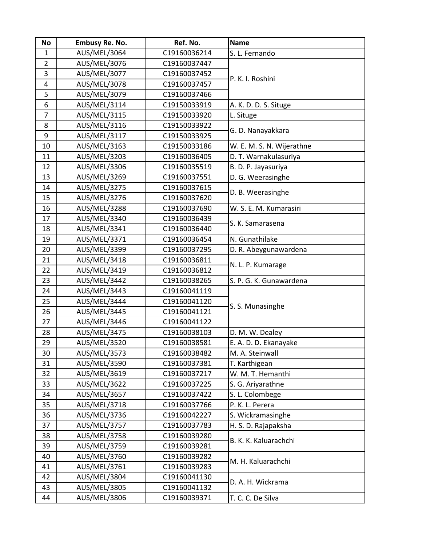| <b>No</b>      | <b>Embusy Re. No.</b> | Ref. No.     | <b>Name</b>               |
|----------------|-----------------------|--------------|---------------------------|
| $\mathbf{1}$   | AUS/MEL/3064          | C19160036214 | S. L. Fernando            |
| $\overline{2}$ | AUS/MEL/3076          | C19160037447 |                           |
| 3              | AUS/MEL/3077          | C19160037452 | P. K. I. Roshini          |
| 4              | AUS/MEL/3078          | C19160037457 |                           |
| 5              | AUS/MEL/3079          | C19160037466 |                           |
| 6              | AUS/MEL/3114          | C19150033919 | A. K. D. D. S. Situge     |
| $\overline{7}$ | AUS/MEL/3115          | C19150033920 | L. Situge                 |
| 8              | AUS/MEL/3116          | C19150033922 | G. D. Nanayakkara         |
| 9              | AUS/MEL/3117          | C19150033925 |                           |
| 10             | AUS/MEL/3163          | C19150033186 | W. E. M. S. N. Wijerathne |
| 11             | AUS/MEL/3203          | C19160036405 | D. T. Warnakulasuriya     |
| 12             | AUS/MEL/3306          | C19160035519 | B. D. P. Jayasuriya       |
| 13             | AUS/MEL/3269          | C19160037551 | D. G. Weerasinghe         |
| 14             | <b>AUS/MEL/3275</b>   | C19160037615 | D. B. Weerasinghe         |
| 15             | AUS/MEL/3276          | C19160037620 |                           |
| 16             | <b>AUS/MEL/3288</b>   | C19160037690 | W. S. E. M. Kumarasiri    |
| 17             | AUS/MEL/3340          | C19160036439 | S. K. Samarasena          |
| 18             | AUS/MEL/3341          | C19160036440 |                           |
| 19             | AUS/MEL/3371          | C19160036454 | N. Gunathilake            |
| 20             | AUS/MEL/3399          | C19160037295 | D. R. Abeygunawardena     |
| 21             | AUS/MEL/3418          | C19160036811 | N. L. P. Kumarage         |
| 22             | AUS/MEL/3419          | C19160036812 |                           |
| 23             | AUS/MEL/3442          | C19160038265 | S. P. G. K. Gunawardena   |
| 24             | AUS/MEL/3443          | C19160041119 |                           |
| 25             | AUS/MEL/3444          | C19160041120 | S. S. Munasinghe          |
| 26             | AUS/MEL/3445          | C19160041121 |                           |
| 27             | AUS/MEL/3446          | C19160041122 |                           |
| 28             | AUS/MEL/3475          | C19160038103 | D. M. W. Dealey           |
| 29             | <b>AUS/MEL/3520</b>   | C19160038581 | E. A. D. D. Ekanayake     |
| 30             | AUS/MEL/3573          | C19160038482 | M. A. Steinwall           |
| 31             | AUS/MEL/3590          | C19160037381 | T. Karthigean             |
| 32             | AUS/MEL/3619          | C19160037217 | W. M. T. Hemanthi         |
| 33             | AUS/MEL/3622          | C19160037225 | S. G. Ariyarathne         |
| 34             | <b>AUS/MEL/3657</b>   | C19160037422 | S. L. Colombege           |
| 35             | AUS/MEL/3718          | C19160037766 | P. K. L. Perera           |
| 36             | AUS/MEL/3736          | C19160042227 | S. Wickramasinghe         |
| 37             | AUS/MEL/3757          | C19160037783 | H. S. D. Rajapaksha       |
| 38             | <b>AUS/MEL/3758</b>   | C19160039280 | B. K. K. Kaluarachchi     |
| 39             | AUS/MEL/3759          | C19160039281 |                           |
| 40             | AUS/MEL/3760          | C19160039282 | M. H. Kaluarachchi        |
| 41             | AUS/MEL/3761          | C19160039283 |                           |
| 42             | AUS/MEL/3804          | C19160041130 | D. A. H. Wickrama         |
| 43             | AUS/MEL/3805          | C19160041132 |                           |
| 44             | AUS/MEL/3806          | C19160039371 | T. C. C. De Silva         |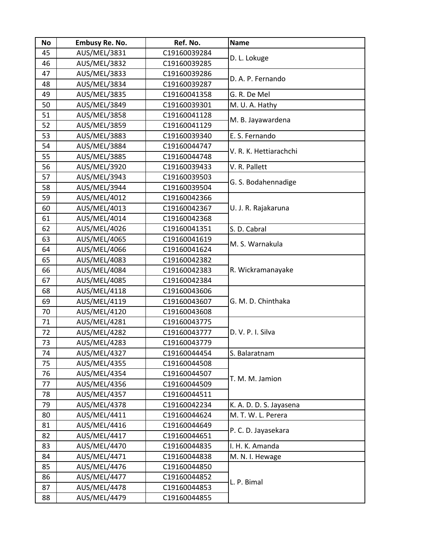| <b>No</b> | Embusy Re. No. | Ref. No.     | <b>Name</b>             |
|-----------|----------------|--------------|-------------------------|
| 45        | AUS/MEL/3831   | C19160039284 | D. L. Lokuge            |
| 46        | AUS/MEL/3832   | C19160039285 |                         |
| 47        | AUS/MEL/3833   | C19160039286 | D. A. P. Fernando       |
| 48        | AUS/MEL/3834   | C19160039287 |                         |
| 49        | AUS/MEL/3835   | C19160041358 | G. R. De Mel            |
| 50        | AUS/MEL/3849   | C19160039301 | M. U. A. Hathy          |
| 51        | AUS/MEL/3858   | C19160041128 | M. B. Jayawardena       |
| 52        | AUS/MEL/3859   | C19160041129 |                         |
| 53        | AUS/MEL/3883   | C19160039340 | E. S. Fernando          |
| 54        | AUS/MEL/3884   | C19160044747 | V. R. K. Hettiarachchi  |
| 55        | AUS/MEL/3885   | C19160044748 |                         |
| 56        | AUS/MEL/3920   | C19160039433 | V. R. Pallett           |
| 57        | AUS/MEL/3943   | C19160039503 | G. S. Bodahennadige     |
| 58        | AUS/MEL/3944   | C19160039504 |                         |
| 59        | AUS/MEL/4012   | C19160042366 |                         |
| 60        | AUS/MEL/4013   | C19160042367 | U. J. R. Rajakaruna     |
| 61        | AUS/MEL/4014   | C19160042368 |                         |
| 62        | AUS/MEL/4026   | C19160041351 | S. D. Cabral            |
| 63        | AUS/MEL/4065   | C19160041619 | M. S. Warnakula         |
| 64        | AUS/MEL/4066   | C19160041624 |                         |
| 65        | AUS/MEL/4083   | C19160042382 |                         |
| 66        | AUS/MEL/4084   | C19160042383 | R. Wickramanayake       |
| 67        | AUS/MEL/4085   | C19160042384 |                         |
| 68        | AUS/MEL/4118   | C19160043606 |                         |
| 69        | AUS/MEL/4119   | C19160043607 | G. M. D. Chinthaka      |
| 70        | AUS/MEL/4120   | C19160043608 |                         |
| 71        | AUS/MEL/4281   | C19160043775 |                         |
| 72        | AUS/MEL/4282   | C19160043777 | D. V. P. I. Silva       |
| 73        | AUS/MEL/4283   | C19160043779 |                         |
| 74        | AUS/MEL/4327   | C19160044454 | S. Balaratnam           |
| 75        | AUS/MEL/4355   | C19160044508 |                         |
| 76        | AUS/MEL/4354   | C19160044507 | T. M. M. Jamion         |
| 77        | AUS/MEL/4356   | C19160044509 |                         |
| 78        | AUS/MEL/4357   | C19160044511 |                         |
| 79        | AUS/MEL/4378   | C19160042234 | K. A. D. D. S. Jayasena |
| 80        | AUS/MEL/4411   | C19160044624 | M. T. W. L. Perera      |
| 81        | AUS/MEL/4416   | C19160044649 | P. C. D. Jayasekara     |
| 82        | AUS/MEL/4417   | C19160044651 |                         |
| 83        | AUS/MEL/4470   | C19160044835 | I. H. K. Amanda         |
| 84        | AUS/MEL/4471   | C19160044838 | M. N. I. Hewage         |
| 85        | AUS/MEL/4476   | C19160044850 | L. P. Bimal             |
| 86        | AUS/MEL/4477   | C19160044852 |                         |
| 87        | AUS/MEL/4478   | C19160044853 |                         |
| 88        | AUS/MEL/4479   | C19160044855 |                         |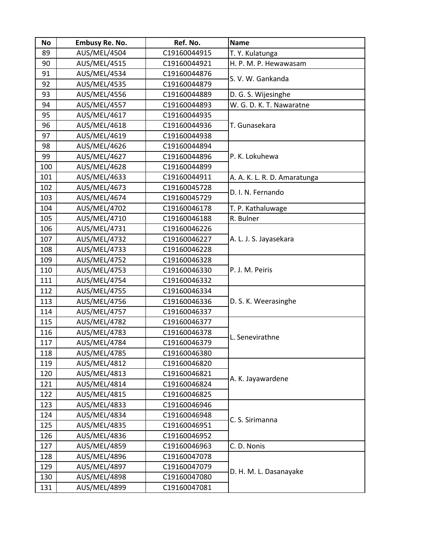| <b>No</b> | <b>Embusy Re. No.</b> | Ref. No.     | <b>Name</b>                  |
|-----------|-----------------------|--------------|------------------------------|
| 89        | AUS/MEL/4504          | C19160044915 | T. Y. Kulatunga              |
| 90        | <b>AUS/MEL/4515</b>   | C19160044921 | H. P. M. P. Hewawasam        |
| 91        | AUS/MEL/4534          | C19160044876 | S. V. W. Gankanda            |
| 92        | <b>AUS/MEL/4535</b>   | C19160044879 |                              |
| 93        | AUS/MEL/4556          | C19160044889 | D. G. S. Wijesinghe          |
| 94        | <b>AUS/MEL/4557</b>   | C19160044893 | W. G. D. K. T. Nawaratne     |
| 95        | AUS/MEL/4617          | C19160044935 |                              |
| 96        | AUS/MEL/4618          | C19160044936 | T. Gunasekara                |
| 97        | AUS/MEL/4619          | C19160044938 |                              |
| 98        | AUS/MEL/4626          | C19160044894 |                              |
| 99        | AUS/MEL/4627          | C19160044896 | P. K. Lokuhewa               |
| 100       | AUS/MEL/4628          | C19160044899 |                              |
| 101       | AUS/MEL/4633          | C19160044911 | A. A. K. L. R. D. Amaratunga |
| 102       | AUS/MEL/4673          | C19160045728 | D. I. N. Fernando            |
| 103       | AUS/MEL/4674          | C19160045729 |                              |
| 104       | AUS/MEL/4702          | C19160046178 | T. P. Kathaluwage            |
| 105       | AUS/MEL/4710          | C19160046188 | R. Bulner                    |
| 106       | AUS/MEL/4731          | C19160046226 |                              |
| 107       | AUS/MEL/4732          | C19160046227 | A. L. J. S. Jayasekara       |
| 108       | AUS/MEL/4733          | C19160046228 |                              |
| 109       | AUS/MEL/4752          | C19160046328 |                              |
| 110       | <b>AUS/MEL/4753</b>   | C19160046330 | P. J. M. Peiris              |
| 111       | AUS/MEL/4754          | C19160046332 |                              |
| 112       | AUS/MEL/4755          | C19160046334 |                              |
| 113       | AUS/MEL/4756          | C19160046336 | D. S. K. Weerasinghe         |
| 114       | AUS/MEL/4757          | C19160046337 |                              |
| 115       | <b>AUS/MEL/4782</b>   | C19160046377 |                              |
| 116       | AUS/MEL/4783          | C19160046378 | L. Senevirathne              |
| 117       | AUS/MEL/4784          | C19160046379 |                              |
| 118       | AUS/MEL/4785          | C19160046380 |                              |
| 119       | <b>AUS/MEL/4812</b>   | C19160046820 | A. K. Jayawardene            |
| 120       | AUS/MEL/4813          | C19160046821 |                              |
| 121       | AUS/MEL/4814          | C19160046824 |                              |
| 122       | AUS/MEL/4815          | C19160046825 |                              |
| 123       | AUS/MEL/4833          | C19160046946 |                              |
| 124       | AUS/MEL/4834          | C19160046948 | C. S. Sirimanna              |
| 125       | AUS/MEL/4835          | C19160046951 |                              |
| 126       | AUS/MEL/4836          | C19160046952 |                              |
| 127       | AUS/MEL/4859          | C19160046963 | C. D. Nonis                  |
| 128       | AUS/MEL/4896          | C19160047078 | D. H. M. L. Dasanayake       |
| 129       | <b>AUS/MEL/4897</b>   | C19160047079 |                              |
| 130       | AUS/MEL/4898          | C19160047080 |                              |
| 131       | AUS/MEL/4899          | C19160047081 |                              |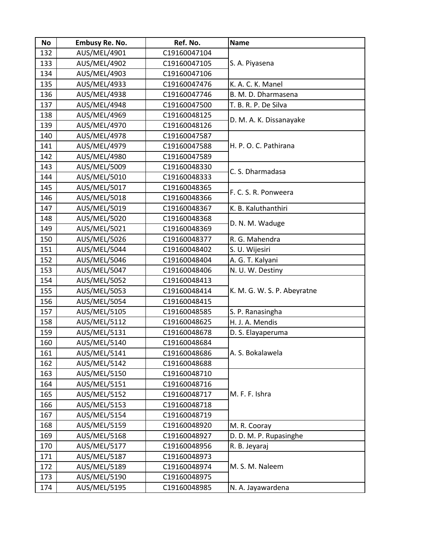| <b>No</b> | <b>Embusy Re. No.</b> | Ref. No.     | <b>Name</b>                 |
|-----------|-----------------------|--------------|-----------------------------|
| 132       | AUS/MEL/4901          | C19160047104 |                             |
| 133       | AUS/MEL/4902          | C19160047105 | S. A. Piyasena              |
| 134       | AUS/MEL/4903          | C19160047106 |                             |
| 135       | AUS/MEL/4933          | C19160047476 | K. A. C. K. Manel           |
| 136       | <b>AUS/MEL/4938</b>   | C19160047746 | B. M. D. Dharmasena         |
| 137       | AUS/MEL/4948          | C19160047500 | T. B. R. P. De Silva        |
| 138       | AUS/MEL/4969          | C19160048125 | D. M. A. K. Dissanayake     |
| 139       | AUS/MEL/4970          | C19160048126 |                             |
| 140       | <b>AUS/MEL/4978</b>   | C19160047587 |                             |
| 141       | AUS/MEL/4979          | C19160047588 | H. P. O. C. Pathirana       |
| 142       | AUS/MEL/4980          | C19160047589 |                             |
| 143       | AUS/MEL/5009          | C19160048330 | C. S. Dharmadasa            |
| 144       | AUS/MEL/5010          | C19160048333 |                             |
| 145       | AUS/MEL/5017          | C19160048365 | F. C. S. R. Ponweera        |
| 146       | AUS/MEL/5018          | C19160048366 |                             |
| 147       | AUS/MEL/5019          | C19160048367 | K. B. Kaluthanthiri         |
| 148       | AUS/MEL/5020          | C19160048368 |                             |
| 149       | AUS/MEL/5021          | C19160048369 | D. N. M. Waduge             |
| 150       | AUS/MEL/5026          | C19160048377 | R. G. Mahendra              |
| 151       | AUS/MEL/5044          | C19160048402 | S. U. Wijesiri              |
| 152       | AUS/MEL/5046          | C19160048404 | A. G. T. Kalyani            |
| 153       | AUS/MEL/5047          | C19160048406 | N. U. W. Destiny            |
| 154       | AUS/MEL/5052          | C19160048413 |                             |
| 155       | AUS/MEL/5053          | C19160048414 | K. M. G. W. S. P. Abeyratne |
| 156       | AUS/MEL/5054          | C19160048415 |                             |
| 157       | AUS/MEL/5105          | C19160048585 | S. P. Ranasingha            |
| 158       | <b>AUS/MEL/5112</b>   | C19160048625 | H. J. A. Mendis             |
| 159       | AUS/MEL/5131          | C19160048678 | D. S. Elayaperuma           |
| 160       | AUS/MEL/5140          | C19160048684 |                             |
| 161       | AUS/MEL/5141          | C19160048686 | A. S. Bokalawela            |
| 162       | AUS/MEL/5142          | C19160048688 |                             |
| 163       | AUS/MEL/5150          | C19160048710 |                             |
| 164       | AUS/MEL/5151          | C19160048716 |                             |
| 165       | <b>AUS/MEL/5152</b>   | C19160048717 | M. F. F. Ishra              |
| 166       | AUS/MEL/5153          | C19160048718 |                             |
| 167       | AUS/MEL/5154          | C19160048719 |                             |
| 168       | AUS/MEL/5159          | C19160048920 | M. R. Cooray                |
| 169       | AUS/MEL/5168          | C19160048927 | D. D. M. P. Rupasinghe      |
| 170       | AUS/MEL/5177          | C19160048956 | R. B. Jeyaraj               |
| 171       | AUS/MEL/5187          | C19160048973 |                             |
| 172       | AUS/MEL/5189          | C19160048974 | M. S. M. Naleem             |
| 173       | AUS/MEL/5190          | C19160048975 |                             |
| 174       | AUS/MEL/5195          | C19160048985 | N. A. Jayawardena           |